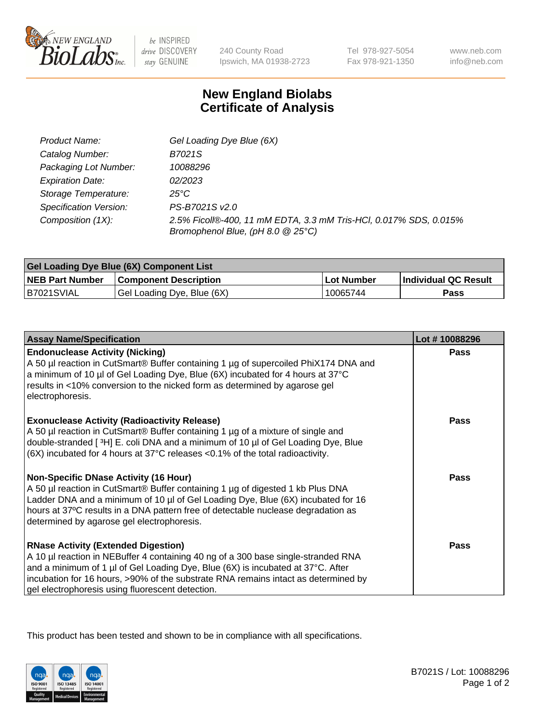

 $be$  INSPIRED drive DISCOVERY stay GENUINE

240 County Road Ipswich, MA 01938-2723 Tel 978-927-5054 Fax 978-921-1350 www.neb.com info@neb.com

## **New England Biolabs Certificate of Analysis**

| Product Name:                 | Gel Loading Dye Blue (6X)                                                                              |
|-------------------------------|--------------------------------------------------------------------------------------------------------|
| Catalog Number:               | B7021S                                                                                                 |
| Packaging Lot Number:         | 10088296                                                                                               |
| <b>Expiration Date:</b>       | 02/2023                                                                                                |
| Storage Temperature:          | $25^{\circ}$ C                                                                                         |
| <b>Specification Version:</b> | PS-B7021S v2.0                                                                                         |
| Composition (1X):             | 2.5% Ficoll®-400, 11 mM EDTA, 3.3 mM Tris-HCl, 0.017% SDS, 0.015%<br>Bromophenol Blue, (pH 8.0 @ 25°C) |

| Gel Loading Dye Blue (6X) Component List |                              |                   |                      |  |
|------------------------------------------|------------------------------|-------------------|----------------------|--|
| <b>NEB Part Number</b>                   | <b>Component Description</b> | <b>Lot Number</b> | Individual QC Result |  |
| IB7021SVIAL                              | Gel Loading Dye, Blue (6X)   | 10065744          | Pass                 |  |

| <b>Assay Name/Specification</b>                                                                                                                                                                                                                                                                                                                              | Lot #10088296 |
|--------------------------------------------------------------------------------------------------------------------------------------------------------------------------------------------------------------------------------------------------------------------------------------------------------------------------------------------------------------|---------------|
| <b>Endonuclease Activity (Nicking)</b><br>A 50 µl reaction in CutSmart® Buffer containing 1 µg of supercoiled PhiX174 DNA and<br>a minimum of 10 µl of Gel Loading Dye, Blue (6X) incubated for 4 hours at 37°C<br>results in <10% conversion to the nicked form as determined by agarose gel<br>electrophoresis.                                            | <b>Pass</b>   |
| <b>Exonuclease Activity (Radioactivity Release)</b><br>A 50 µl reaction in CutSmart® Buffer containing 1 µg of a mixture of single and<br>double-stranded [3H] E. coli DNA and a minimum of 10 µl of Gel Loading Dye, Blue<br>(6X) incubated for 4 hours at 37°C releases <0.1% of the total radioactivity.                                                  | <b>Pass</b>   |
| <b>Non-Specific DNase Activity (16 Hour)</b><br>A 50 µl reaction in CutSmart® Buffer containing 1 µg of digested 1 kb Plus DNA<br>Ladder DNA and a minimum of 10 µl of Gel Loading Dye, Blue (6X) incubated for 16<br>hours at 37°C results in a DNA pattern free of detectable nuclease degradation as<br>determined by agarose gel electrophoresis.        | <b>Pass</b>   |
| <b>RNase Activity (Extended Digestion)</b><br>A 10 µl reaction in NEBuffer 4 containing 40 ng of a 300 base single-stranded RNA<br>and a minimum of 1 µl of Gel Loading Dye, Blue (6X) is incubated at 37°C. After<br>incubation for 16 hours, >90% of the substrate RNA remains intact as determined by<br>gel electrophoresis using fluorescent detection. | <b>Pass</b>   |

This product has been tested and shown to be in compliance with all specifications.